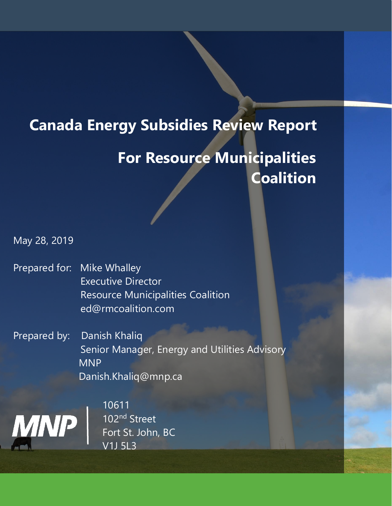# **Canada Energy Subsidies Review Report**

# **For Resource Municipalities Coalition**

May 28, 2019

- Prepared for: Mike Whalley Executive Director Resource Municipalities Coalition ed@rmcoalition.com
- Prepared by: Danish Khaliq Senior Manager, Energy and Utilities Advisory MNP Danish.Khaliq@mnp.ca



10611 102nd Street Fort St. John, BC V1J 5L3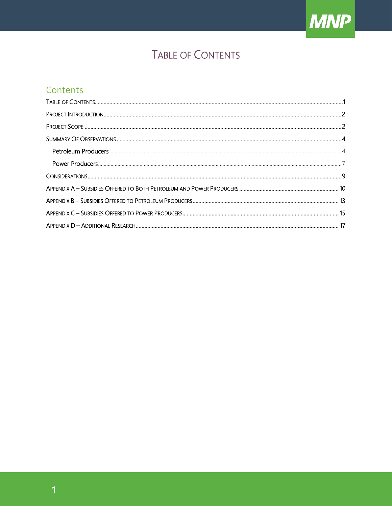

# TABLE OF CONTENTS

## <span id="page-1-0"></span>Contents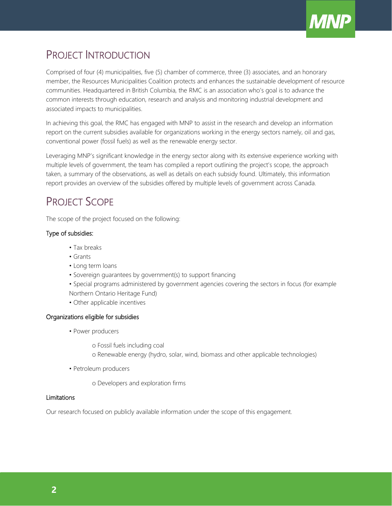

# <span id="page-2-0"></span>PROJECT INTRODUCTION

Comprised of four (4) municipalities, five (5) chamber of commerce, three (3) associates, and an honorary member, the Resources Municipalities Coalition protects and enhances the sustainable development of resource communities. Headquartered in British Columbia, the RMC is an association who's goal is to advance the common interests through education, research and analysis and monitoring industrial development and associated impacts to municipalities.

In achieving this goal, the RMC has engaged with MNP to assist in the research and develop an information report on the current subsidies available for organizations working in the energy sectors namely, oil and gas, conventional power (fossil fuels) as well as the renewable energy sector.

Leveraging MNP's significant knowledge in the energy sector along with its extensive experience working with multiple levels of government, the team has compiled a report outlining the project's scope, the approach taken, a summary of the observations, as well as details on each subsidy found. Ultimately, this information report provides an overview of the subsidies offered by multiple levels of government across Canada.

# <span id="page-2-1"></span>PROJECT SCOPE

The scope of the project focused on the following:

### Type of subsidies:

- Tax breaks
- Grants
- Long term loans
- Sovereign guarantees by government(s) to support financing
- Special programs administered by government agencies covering the sectors in focus (for example Northern Ontario Heritage Fund)
- Other applicable incentives

### Organizations eligible for subsidies

• Power producers

o Fossil fuels including coal

- o Renewable energy (hydro, solar, wind, biomass and other applicable technologies)
- Petroleum producers

o Developers and exploration firms

### Limitations

Our research focused on publicly available information under the scope of this engagement.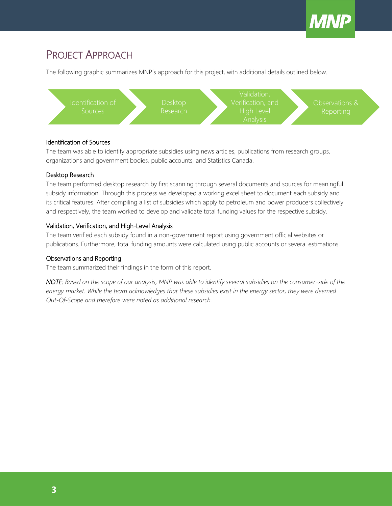

# PROJECT APPROACH

The following graphic summarizes MNP's approach for this project, with additional details outlined below.



#### Identification of Sources

The team was able to identify appropriate subsidies using news articles, publications from research groups, organizations and government bodies, public accounts, and Statistics Canada.

#### Desktop Research

The team performed desktop research by first scanning through several documents and sources for meaningful subsidy information. Through this process we developed a working excel sheet to document each subsidy and its critical features. After compiling a list of subsidies which apply to petroleum and power producers collectively and respectively, the team worked to develop and validate total funding values for the respective subsidy.

#### Validation, Verification, and High-Level Analysis

The team verified each subsidy found in a non-government report using government official websites or publications. Furthermore, total funding amounts were calculated using public accounts or several estimations.

### Observations and Reporting

The team summarized their findings in the form of this report.

*NOTE: Based on the scope of our analysis, MNP was able to identify several subsidies on the consumer-side of the energy market. While the team acknowledges that these subsidies exist in the energy sector, they were deemed Out-Of-Scope and therefore were noted as additional research.*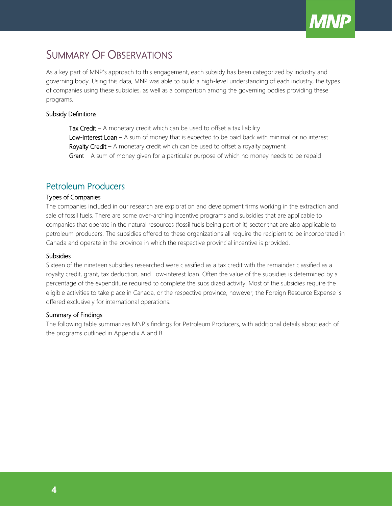

## <span id="page-4-0"></span>SUMMARY OF OBSERVATIONS

As a key part of MNP's approach to this engagement, each subsidy has been categorized by industry and governing body. Using this data, MNP was able to build a high-level understanding of each industry, the types of companies using these subsidies, as well as a comparison among the governing bodies providing these programs.

#### Subsidy Definitions

Tax Credit – A monetary credit which can be used to offset a tax liability Low-Interest Loan - A sum of money that is expected to be paid back with minimal or no interest Royalty Credit - A monetary credit which can be used to offset a royalty payment Grant – A sum of money given for a particular purpose of which no money needs to be repaid

### <span id="page-4-1"></span>Petroleum Producers

#### Types of Companies

The companies included in our research are exploration and development firms working in the extraction and sale of fossil fuels. There are some over-arching incentive programs and subsidies that are applicable to companies that operate in the natural resources (fossil fuels being part of it) sector that are also applicable to petroleum producers. The subsidies offered to these organizations all require the recipient to be incorporated in Canada and operate in the province in which the respective provincial incentive is provided.

#### **Subsidies**

Sixteen of the nineteen subsidies researched were classified as a tax credit with the remainder classified as a royalty credit, grant, tax deduction, and low-interest loan. Often the value of the subsidies is determined by a percentage of the expenditure required to complete the subsidized activity. Most of the subsidies require the eligible activities to take place in Canada, or the respective province, however, the Foreign Resource Expense is offered exclusively for international operations.

#### Summary of Findings

The following table summarizes MNP's findings for Petroleum Producers, with additional details about each of the programs outlined in Appendix A and B.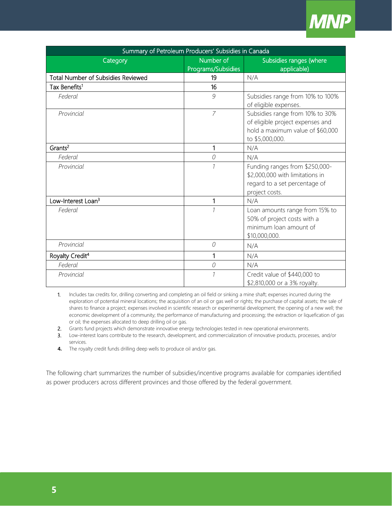

| Summary of Petroleum Producers' Subsidies in Canada |                    |                                  |  |  |  |  |  |
|-----------------------------------------------------|--------------------|----------------------------------|--|--|--|--|--|
| Category                                            | Number of          | Subsidies ranges (where          |  |  |  |  |  |
|                                                     | Programs/Subsidies | applicable)                      |  |  |  |  |  |
| <b>Total Number of Subsidies Reviewed</b>           | 19                 | N/A                              |  |  |  |  |  |
| Tax Benefits <sup>1</sup>                           | 16                 |                                  |  |  |  |  |  |
| Federal                                             | 9                  | Subsidies range from 10% to 100% |  |  |  |  |  |
|                                                     |                    | of eligible expenses.            |  |  |  |  |  |
| Provincial                                          | $\overline{7}$     | Subsidies range from 10% to 30%  |  |  |  |  |  |
|                                                     |                    | of eligible project expenses and |  |  |  |  |  |
|                                                     |                    | hold a maximum value of \$60,000 |  |  |  |  |  |
|                                                     |                    | to \$5,000,000.                  |  |  |  |  |  |
| Grants <sup>2</sup>                                 | 1                  | N/A                              |  |  |  |  |  |
| Federal                                             | 0                  | N/A                              |  |  |  |  |  |
| Provincial                                          | $\mathcal{I}$      | Funding ranges from \$250,000-   |  |  |  |  |  |
|                                                     |                    | \$2,000,000 with limitations in  |  |  |  |  |  |
|                                                     |                    | regard to a set percentage of    |  |  |  |  |  |
|                                                     |                    | project costs.                   |  |  |  |  |  |
| Low-Interest Loan <sup>3</sup>                      | 1                  | N/A                              |  |  |  |  |  |
| Federal                                             |                    | Loan amounts range from 15% to   |  |  |  |  |  |
|                                                     |                    | 50% of project costs with a      |  |  |  |  |  |
|                                                     |                    | minimum loan amount of           |  |  |  |  |  |
|                                                     |                    | \$10,000,000.                    |  |  |  |  |  |
| Provincial                                          | $\mathcal O$       | N/A                              |  |  |  |  |  |
| Royalty Credit <sup>4</sup>                         | 1                  | N/A                              |  |  |  |  |  |
| Federal                                             | $\mathcal O$       | N/A                              |  |  |  |  |  |
| Provincial                                          |                    | Credit value of \$440,000 to     |  |  |  |  |  |
|                                                     |                    | \$2,810,000 or a 3% royalty.     |  |  |  |  |  |

<sup>1.</sup> Includes tax credits for, drilling converting and completing an oil field or sinking a mine shaft; expenses incurred during the exploration of potential mineral locations; the acquisition of an oil or gas well or rights; the purchase of capital assets; the sale of shares to finance a project; expenses involved in scientific research or experimental development; the opening of a new well; the economic development of a community; the performance of manufacturing and processing; the extraction or liquefication of gas or oil; the expenses allocated to deep drilling oil or gas.

- 2. Grants fund projects which demonstrate innovative energy technologies tested in new operational environments.
- 3. Low-interest loans contribute to the research, development, and commercialization of innovative products, processes, and/or services.
- **4.** The royalty credit funds drilling deep wells to produce oil and/or gas.

The following chart summarizes the number of subsidies/incentive programs available for companies identified as power producers across different provinces and those offered by the federal government.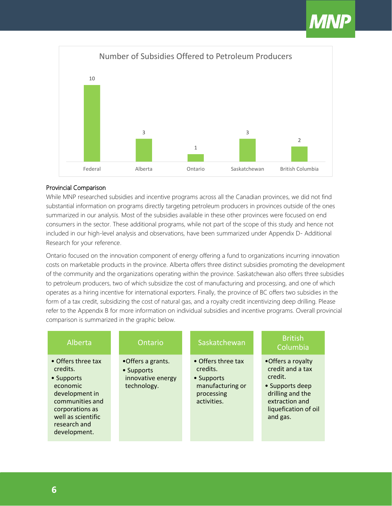

#### Provincial Comparison

While MNP researched subsidies and incentive programs across all the Canadian provinces, we did not find substantial information on programs directly targeting petroleum producers in provinces outside of the ones summarized in our analysis. Most of the subsidies available in these other provinces were focused on end consumers in the sector. These additional programs, while not part of the scope of this study and hence not included in our high-level analysis and observations, have been summarized under Appendix D- Additional Research for your reference.

Ontario focused on the innovation component of energy offering a fund to organizations incurring innovation costs on marketable products in the province. Alberta offers three distinct subsidies promoting the development of the community and the organizations operating within the province. Saskatchewan also offers three subsidies to petroleum producers, two of which subsidize the cost of manufacturing and processing, and one of which operates as a hiring incentive for international exporters. Finally, the province of BC offers two subsidies in the form of a tax credit, subsidizing the cost of natural gas, and a royalty credit incentivizing deep drilling. Please refer to the Appendix B for more information on individual subsidies and incentive programs. Overall provincial comparison is summarized in the graphic below.

| Alberta                                                                                                                                                                | Ontario                                                             | Saskatchewan                                                                                  | <b>British</b><br>Columbia                                                                                                                    |
|------------------------------------------------------------------------------------------------------------------------------------------------------------------------|---------------------------------------------------------------------|-----------------------------------------------------------------------------------------------|-----------------------------------------------------------------------------------------------------------------------------------------------|
| • Offers three tax<br>credits.<br>• Supports<br>economic<br>development in<br>communities and<br>corporations as<br>well as scientific<br>research and<br>development. | •Offers a grants.<br>• Supports<br>innovative energy<br>technology. | • Offers three tax<br>credits.<br>• Supports<br>manufacturing or<br>processing<br>activities. | •Offers a royalty<br>credit and a tax<br>credit.<br>• Supports deep<br>drilling and the<br>extraction and<br>liquefication of oil<br>and gas. |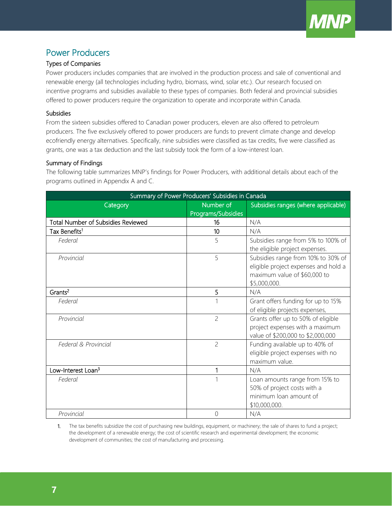

### <span id="page-7-0"></span>Power Producers

### Types of Companies

Power producers includes companies that are involved in the production process and sale of conventional and renewable energy (all technologies including hydro, biomass, wind, solar etc.). Our research focused on incentive programs and subsidies available to these types of companies. Both federal and provincial subsidies offered to power producers require the organization to operate and incorporate within Canada.

#### **Subsidies**

From the sixteen subsidies offered to Canadian power producers, eleven are also offered to petroleum producers. The five exclusively offered to power producers are funds to prevent climate change and develop ecofriendly energy alternatives. Specifically, nine subsidies were classified as tax credits, five were classified as grants, one was a tax deduction and the last subsidy took the form of a low-interest loan.

#### Summary of Findings

The following table summarizes MNP's findings for Power Producers, with additional details about each of the programs outlined in Appendix A and C.

| Summary of Power Producers' Subsidies in Canada |                                 |                                                                                                                            |  |  |  |  |  |
|-------------------------------------------------|---------------------------------|----------------------------------------------------------------------------------------------------------------------------|--|--|--|--|--|
| Category                                        | Number of<br>Programs/Subsidies | Subsidies ranges (where applicable)                                                                                        |  |  |  |  |  |
| <b>Total Number of Subsidies Reviewed</b>       | 16                              | N/A                                                                                                                        |  |  |  |  |  |
| Tax Benefits <sup>1</sup>                       | 10                              | N/A                                                                                                                        |  |  |  |  |  |
| Federal                                         | 5                               | Subsidies range from 5% to 100% of<br>the eligible project expenses.                                                       |  |  |  |  |  |
| Provincial                                      | 5                               | Subsidies range from 10% to 30% of<br>eligible project expenses and hold a<br>maximum value of \$60,000 to<br>\$5,000,000. |  |  |  |  |  |
| Grants <sup>2</sup>                             | 5                               | N/A                                                                                                                        |  |  |  |  |  |
| Federal                                         | 1                               | Grant offers funding for up to 15%<br>of eligible projects expenses,                                                       |  |  |  |  |  |
| Provincial                                      | $\overline{c}$                  | Grants offer up to 50% of eligible<br>project expenses with a maximum<br>value of \$200,000 to \$2,000,000                 |  |  |  |  |  |
| Federal & Provincial                            | $\overline{c}$                  | Funding available up to 40% of<br>eligible project expenses with no<br>maximum value.                                      |  |  |  |  |  |
| Low-Interest Loan <sup>3</sup>                  | 1                               | N/A                                                                                                                        |  |  |  |  |  |
| Federal                                         | 1                               | Loan amounts range from 15% to<br>50% of project costs with a<br>minimum loan amount of<br>\$10,000,000.                   |  |  |  |  |  |
| Provincial                                      | 0                               | N/A                                                                                                                        |  |  |  |  |  |

1. The tax benefits subsidize the cost of purchasing new buildings, equipment, or machinery; the sale of shares to fund a project; the development of a renewable energy; the cost of scientific research and experimental development; the economic development of communities; the cost of manufacturing and processing.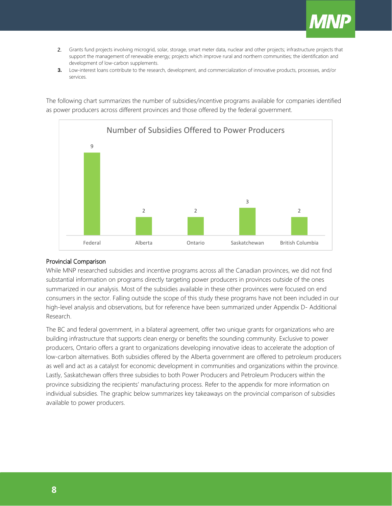

- 2. Grants fund projects involving microgrid, solar, storage, smart meter data, nuclear and other projects; infrastructure projects that support the management of renewable energy; projects which improve rural and northern communities; the identification and development of low-carbon supplements.
- **3.** Low-interest loans contribute to the research, development, and commercialization of innovative products, processes, and/or services.

The following chart summarizes the number of subsidies/incentive programs available for companies identified as power producers across different provinces and those offered by the federal government.



#### Provincial Comparison

While MNP researched subsidies and incentive programs across all the Canadian provinces, we did not find substantial information on programs directly targeting power producers in provinces outside of the ones summarized in our analysis. Most of the subsidies available in these other provinces were focused on end consumers in the sector. Falling outside the scope of this study these programs have not been included in our high-level analysis and observations, but for reference have been summarized under Appendix D- Additional Research.

The BC and federal government, in a bilateral agreement, offer two unique grants for organizations who are building infrastructure that supports clean energy or benefits the sounding community. Exclusive to power producers, Ontario offers a grant to organizations developing innovative ideas to accelerate the adoption of low-carbon alternatives. Both subsidies offered by the Alberta government are offered to petroleum producers as well and act as a catalyst for economic development in communities and organizations within the province. Lastly, Saskatchewan offers three subsidies to both Power Producers and Petroleum Producers within the province subsidizing the recipients' manufacturing process. Refer to the appendix for more information on individual subsidies. The graphic below summarizes key takeaways on the provincial comparison of subsidies available to power producers.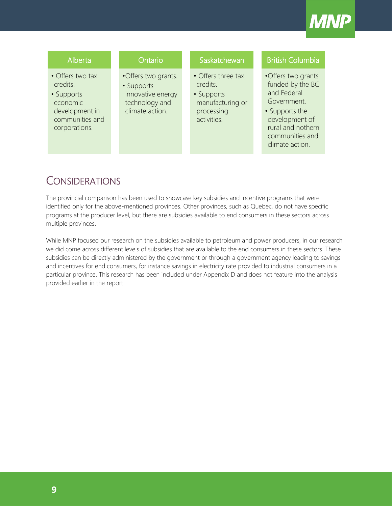

### Alberta

- Offers two tax credits.
- Supports economic development in communities and corporations.

### **Ontario**

•Offers two grants. • Supports

innovative energy technology and climate action.

### **Saskatchewan**

- Offers three tax credits. • Supports
- manufacturing or processing activities.

### British Columbia

- •Offers two grants funded by the BC and Federal Government.
- Supports the development of rural and nothern communities and climate action.

## <span id="page-9-0"></span>**CONSIDERATIONS**

The provincial comparison has been used to showcase key subsidies and incentive programs that were identified only for the above-mentioned provinces. Other provinces, such as Quebec, do not have specific programs at the producer level, but there are subsidies available to end consumers in these sectors across multiple provinces.

While MNP focused our research on the subsidies available to petroleum and power producers, in our research we did come across different levels of subsidies that are available to the end consumers in these sectors. These subsidies can be directly administered by the government or through a government agency leading to savings and incentives for end consumers, for instance savings in electricity rate provided to industrial consumers in a particular province. This research has been included under Appendix D and does not feature into the analysis provided earlier in the report.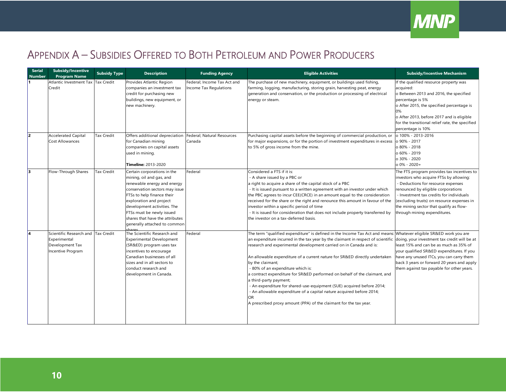

# APPENDIX A – SUBSIDIES OFFERED TO BOTH PETROLEUM AND POWER PRODUCERS

<span id="page-10-0"></span>

| <b>Serial</b><br><b>Number</b> | <b>Subsidy/Incentive</b><br><b>Program Name</b>                                 | <b>Subsidy Type</b> | <b>Description</b>                                                                                                                                                                                                                                                                                               | <b>Funding Agency</b>                                 | <b>Eligible Activities</b>                                                                                                                                                                                                                                                                                                                                                                                                                                                                                                                                                                                                                                                                                                                                                                         | <b>Subsidy/Incentive Mechanism</b>                                                                                                                                                                                                                                                                                                     |
|--------------------------------|---------------------------------------------------------------------------------|---------------------|------------------------------------------------------------------------------------------------------------------------------------------------------------------------------------------------------------------------------------------------------------------------------------------------------------------|-------------------------------------------------------|----------------------------------------------------------------------------------------------------------------------------------------------------------------------------------------------------------------------------------------------------------------------------------------------------------------------------------------------------------------------------------------------------------------------------------------------------------------------------------------------------------------------------------------------------------------------------------------------------------------------------------------------------------------------------------------------------------------------------------------------------------------------------------------------------|----------------------------------------------------------------------------------------------------------------------------------------------------------------------------------------------------------------------------------------------------------------------------------------------------------------------------------------|
|                                | <b>Atlantic Investment Tax</b><br>Credit                                        | <b>Tax Credit</b>   | Provides Atlantic Region<br>companies an investment tax<br>credit for purchasing new<br>buildings, new equipment, or<br>new machinery.                                                                                                                                                                           | Federal; Income Tax Act and<br>Income Tax Regulations | The purchase of new machinery, equipment, or buildings used fishing,<br>farming, logging, manufacturing, storing grain, harvesting peat, energy<br>generation and conservation, or the production or processing of electrical<br>energy or steam.                                                                                                                                                                                                                                                                                                                                                                                                                                                                                                                                                  | If the qualified resource property was<br>acquired:<br>o Between 2013 and 2016, the specified<br>percentage is 5%<br>o After 2015, the specified percentage is<br>o After 2013, before 2017 and is eligible<br>for the transitional relief rate, the specified<br>percentage is 10%                                                    |
| I2                             | <b>Accelerated Capital</b><br><b>Cost Allowances</b>                            | <b>Tax Credit</b>   | Offers additional depreciation<br>for Canadian mining<br>companies on capital assets<br>used in mining.<br><b>Timeline: 2013-2020</b>                                                                                                                                                                            | Federal; Natural Resources<br>Canada                  | Purchasing capital assets before the beginning of commercial production, or $\vert$ o 100% - 2013-2016<br>for major expansions, or for the portion of investment expenditures in excess $\vert$ o 90% - 2017<br>to 5% of gross income from the mine.                                                                                                                                                                                                                                                                                                                                                                                                                                                                                                                                               | o 80% - 2018<br>o 60% - 2019<br>o 30% - 2020<br>$0\% - 2020 +$                                                                                                                                                                                                                                                                         |
| lз                             | Flow-Through Shares                                                             | <b>Tax Credit</b>   | Certain corporations in the<br>mining, oil and gas, and<br>renewable energy and energy<br>conservation sectors may issue<br>FTSs to help finance their<br>exploration and project<br>development activities. The<br>FTSs must be newly issued<br>shares that have the attributes<br>generally attached to common | Federal                                               | Considered a FTS if it is:<br>A share issued by a PBC or<br>a right to acquire a share of the capital stock of a PBC<br>- It is issued pursuant to a written agreement with an investor under which<br>the PBC agrees to incur CEE(CRCE) in an amount equal to the consideration<br>received for the share or the right and renounce this amount in favour of the<br>investor within a specific period of time<br>- It is issued for consideration that does not include property transferred by<br>the investor on a tax-deferred basis.                                                                                                                                                                                                                                                          | The FTS program provides tax incentives to<br>investors who acquire FTSs by allowing:<br>- Deductions for resource expenses<br>renounced by eligible corporations<br>- Investment tax credits for individuals<br>(excluding trusts) on resource expenses in<br>the mining sector that qualify as flow-<br>through mining expenditures. |
| l4                             | Scientific Research and<br>Experimental<br>Development Tax<br>Incentive Program | <b>Tax Credit</b>   | The Scientific Research and<br><b>Experimental Development</b><br>(SR&ED) program uses tax<br>incentives to encourage<br>Canadian businesses of all<br>sizes and in all sectors to<br>conduct research and<br>development in Canada.                                                                             | Federal                                               | The term "qualified expenditure" is defined in the Income Tax Act and means: Whatever eligible SR&ED work you are<br>an expenditure incurred in the tax year by the claimant in respect of scientific doing, your investment tax credit will be at<br>research and experimental development carried on in Canada and is:<br>An allowable expenditure of a current nature for SR&ED directly undertaken<br>by the claimant;<br>- 80% of an expenditure which is:<br>a contract expenditure for SR&ED performed on behalf of the claimant, and<br>a third-party payment;<br>- An expenditure for shared-use-equipment (SUE) acquired before 2014;<br>- An allowable expenditure of a capital nature acquired before 2014;<br>OR<br>A prescribed proxy amount (PPA) of the claimant for the tax year. | least 15% and can be as much as 35% of<br>your qualified SR&ED expenditures. If you<br>have any unused ITCs, you can carry them<br>back 3 years or forward 20 years and apply<br>them against tax payable for other years.                                                                                                             |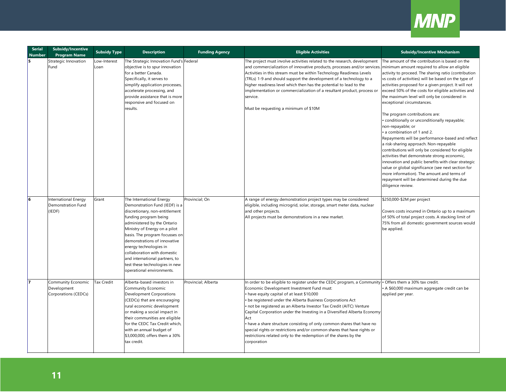

| <b>Serial</b><br><b>Number</b> | <b>Subsidy/Incentive</b><br><b>Program Name</b>             | <b>Subsidy Type</b>  | <b>Description</b>                                                                                                                                                                                                                                                                                                                                                                                                | <b>Funding Agency</b> | <b>Eligible Activities</b>                                                                                                                                                                                                                                                                                                                                                                                                                                                                                                                                                                                                      | <b>Subsidy/Incentive Mechanism</b>                                                                                                                                                                                                                                                                                                                                                                                                                                                                                                                                                                                                                                                                                                                                                                                                                                                                                                                                                |
|--------------------------------|-------------------------------------------------------------|----------------------|-------------------------------------------------------------------------------------------------------------------------------------------------------------------------------------------------------------------------------------------------------------------------------------------------------------------------------------------------------------------------------------------------------------------|-----------------------|---------------------------------------------------------------------------------------------------------------------------------------------------------------------------------------------------------------------------------------------------------------------------------------------------------------------------------------------------------------------------------------------------------------------------------------------------------------------------------------------------------------------------------------------------------------------------------------------------------------------------------|-----------------------------------------------------------------------------------------------------------------------------------------------------------------------------------------------------------------------------------------------------------------------------------------------------------------------------------------------------------------------------------------------------------------------------------------------------------------------------------------------------------------------------------------------------------------------------------------------------------------------------------------------------------------------------------------------------------------------------------------------------------------------------------------------------------------------------------------------------------------------------------------------------------------------------------------------------------------------------------|
| ls.                            | Strategic Innovation<br>Fund                                | Low-Interest<br>Loan | The Strategic Innovation Fund's Federal<br>objective is to spur innovation<br>for a better Canada.<br>Specifically, it serves to<br>simplify application processes,<br>accelerate processing, and<br>provide assistance that is more<br>responsive and focused on<br>results.                                                                                                                                     |                       | The project must involve activities related to the research, development<br>and commercialization of innovative products, processes and/or services<br>Activities in this stream must be within Technology Readiness Levels<br>(TRLs) 1-9 and should support the development of a technology to a<br>higher readiness level which then has the potential to lead to the<br>implementation or commercialization of a resultant product, process or<br>service.<br>Must be requesting a minimum of \$10M                                                                                                                          | The amount of the contribution is based on the<br>minimum amount required to allow an eligible<br>activity to proceed. The sharing ratio (contribution<br>vs costs of activities) will be based on the type of<br>activities proposed for a given project. It will not<br>exceed 50% of the costs for eligible activities and<br>the maximum level will only be considered in<br>exceptional circumstances.<br>The program contributions are:<br>conditionally or unconditionally repayable;<br>non-repayable; or<br>a combination of 1 and 2.<br>Repayments will be performance-based and reflect<br>a risk-sharing approach. Non-repayable<br>contributions will only be considered for eligible<br>activities that demonstrate strong economic,<br>innovation and public benefits with clear strategic<br>value or global significance (see next section for<br>more information). The amount and terms of<br>repayment will be determined during the due<br>diligence review. |
| l6                             | <b>International Energy</b><br>Demonstration Fund<br>(IEDF) | Grant                | The International Energy<br>Demonstration Fund (IEDF) is a<br>discretionary, non-entitlement<br>funding program being<br>administered by the Ontario<br>Ministry of Energy on a pilot<br>basis. The program focusses or<br>demonstrations of innovative<br>energy technologies in<br>collaboration with domestic<br>and international partners, to<br>test these technologies in new<br>operational environments. | Provincial; On        | A range of energy demonstration project types may be considered<br>eligible, including microgrid, solar, storage, smart meter data, nuclear<br>and other projects.<br>All projects must be demonstrations in a new market.                                                                                                                                                                                                                                                                                                                                                                                                      | \$250,000-\$2M per project<br>Covers costs incurred in Ontario up to a maximum<br>of 50% of total project costs. A stacking limit of<br>75% from all domestic government sources would<br>be applied.                                                                                                                                                                                                                                                                                                                                                                                                                                                                                                                                                                                                                                                                                                                                                                             |
| 17                             | Community Economic<br>Development<br>Corporations (CEDCs)   | <b>Tax Credit</b>    | Alberta-based investors in<br>Community Economic<br>Development Corporations<br>(CEDCs) that are encouraging<br>rural economic development<br>or making a social impact in<br>their communities are eligible<br>for the CEDC Tax Credit which,<br>with an annual budget of<br>\$3,000,000, offers them a 30%<br>tax credit.                                                                                       | Provincial; Alberta   | In order to be eligible to register under the CEDC program, a Community<br>Economic Development Investment Fund must:<br>have equity capital of at least \$10,000<br>be registered under the Alberta Business Corporations Act<br>not be registered as an Alberta Investor Tax Credit (AITC) Venture<br>Capital Corporation under the Investing in a Diversified Alberta Economy<br>Act<br>• have a share structure consisting of only common shares that have no<br>special rights or restrictions and/or common shares that have rights or<br>restrictions related only to the redemption of the shares by the<br>corporation | · Offers them a 30% tax credit.<br>A \$60,000 maximum aggregate credit can be<br>applied per year.                                                                                                                                                                                                                                                                                                                                                                                                                                                                                                                                                                                                                                                                                                                                                                                                                                                                                |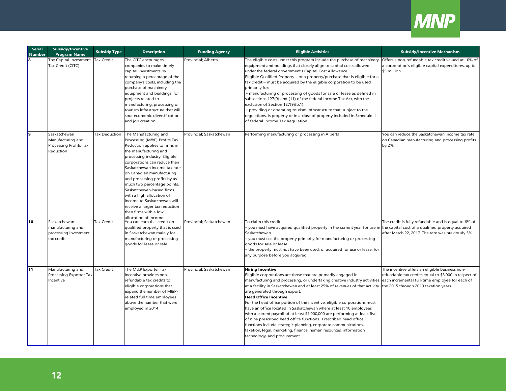

| <b>Serial</b><br><b>Number</b> | <b>Subsidy/Incentive</b><br><b>Program Name</b>                          | <b>Subsidy Type</b> | <b>Description</b>                                                                                                                                                                                                                                                                                                                                                                                                                                                                                      | <b>Funding Agency</b>    | <b>Eligible Activities</b>                                                                                                                                                                                                                                                                                                                                                                                                                                                                                                                                                                                                                                                                                                                                                                         | <b>Subsidy/Incentive Mechanism</b>                                                                                                                                                                  |
|--------------------------------|--------------------------------------------------------------------------|---------------------|---------------------------------------------------------------------------------------------------------------------------------------------------------------------------------------------------------------------------------------------------------------------------------------------------------------------------------------------------------------------------------------------------------------------------------------------------------------------------------------------------------|--------------------------|----------------------------------------------------------------------------------------------------------------------------------------------------------------------------------------------------------------------------------------------------------------------------------------------------------------------------------------------------------------------------------------------------------------------------------------------------------------------------------------------------------------------------------------------------------------------------------------------------------------------------------------------------------------------------------------------------------------------------------------------------------------------------------------------------|-----------------------------------------------------------------------------------------------------------------------------------------------------------------------------------------------------|
| 8                              | The Capital Investment<br>Tax Credit (CITC)                              | <b>Tax Credit</b>   | The CITC encourages<br>companies to make timely<br>capital investments by<br>returning a percentage of the<br>company's costs, including the<br>purchase of machinery,<br>equipment and buildings, for<br>projects related to<br>manufacturing, processing or<br>tourism infrastructure that will<br>spur economic diversification<br>and job creation.                                                                                                                                                 | Provincial; Alberta      | The eligible costs under this program include the purchase of machinery,<br>equipment and buildings that closely align to capital costs allowed<br>under the federal government's Capital Cost Allowance.<br>Eligible Qualified Property - or a property/purchase that is eligible for a<br>tax credit - must be acquired by the eligible corporation to be used<br>primarily for:<br>• manufacturing or processing of goods for sale or lease as defined in<br>subsections 127(9) and (11) of the federal Income Tax Act, with the<br>exclusion of Section 127(9)(b.1).<br>• providing or operating tourism infrastructure that, subject to the<br>regulations, is property or in a class of property included in Schedule II<br>of federal Income Tax Regulation                                 | Offers a non-refundable tax credit valued at 10% of<br>a corporation's eligible capital expenditures, up to<br>\$5 million                                                                          |
| l9.                            | Saskatchewan<br>Manufacturing and<br>Processing Profits Tax<br>Reduction |                     | Tax Deduction The Manufacturing and<br>Processing (M&P) Profits Tax<br>Reduction applies to firms in<br>the manufacturing and<br>processing industry. Eligible<br>corporations can reduce their<br>Saskatchewan income tax rate<br>on Canadian manufacturing<br>and processing profits by as<br>much two percentage points.<br>Saskatchewan-based firms<br>with a high allocation of<br>income to Saskatchewan will<br>receive a larger tax reduction<br>than firms with a low<br>Illocation of income. | Provincial; Saskatchewan | Performing manufacturing or processing in Alberta                                                                                                                                                                                                                                                                                                                                                                                                                                                                                                                                                                                                                                                                                                                                                  | You can reduce the Saskatchewan income tax rate<br>on Canadian manufacturing and processing profits<br>by 2%.                                                                                       |
| 10                             | Saskatchewan<br>manufacturing and<br>processing investment<br>tax credit | <b>Tax Credit</b>   | You can earn this credit on<br>qualified property that is used<br>in Saskatchewan mainly for<br>manufacturing or processing<br>goods for lease or sale.                                                                                                                                                                                                                                                                                                                                                 | Provincial; Saskatchewan | To claim this credit:<br>you must have acquired qualified property in the current year for use in<br>Saskatchewan<br>- you must use the property primarily for manufacturing or processing<br>goods for sale or lease.<br>- the property must not have been used, or acquired for use or lease, for<br>any purpose before you acquired i                                                                                                                                                                                                                                                                                                                                                                                                                                                           | The credit is fully refundable and is equal to 6% of<br>the capital cost of a qualified property acquired<br>after March 22, 2017. The rate was previously 5%.                                      |
| 11                             | Manufacturing and<br>Processing Exporter Tax<br>Incentive                | Tax Credit          | The M&P Exporter Tax<br>Incentive provides non-<br>refundable tax credits to<br>eligible corporations that<br>expand the number of M&P-<br>related full time employees<br>above the number that were<br>employed in 2014                                                                                                                                                                                                                                                                                | Provincial; Saskatchewan | <b>Hiring Incentive</b><br>Eligible corporations are those that are primarily engaged in<br>manufacturing and processing, or undertaking creative industry activities<br>at a facility in Saskatchewan and at least 25% of revenues of that activity<br>are generated through export.<br><b>Head Office Incentive</b><br>For the head office portion of the incentive, eligible corporations must<br>have an office located in Saskatchewan where at least 10 employees<br>with a current payroll of at least \$1,000,000 are performing at least five<br>of nine prescribed head office functions. Prescribed head office<br>functions include strategic planning, corporate communications,<br>taxation, legal, marketing, finance, human resources, information<br>technology, and procurement. | The incentive offers an eligible business non-<br>refundable tax credits equal to \$3,000 in respect of<br>each incremental full-time employee for each of<br>the 2015 through 2019 taxation years. |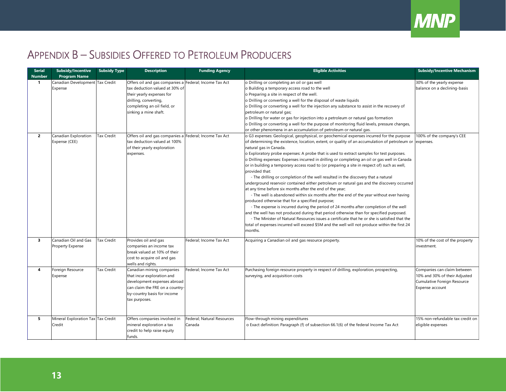

 $\parallel$ 

# APPENDIX B – SUBSIDIES OFFERED TO PETROLEUM PRODUCERS

<span id="page-13-0"></span>

| <b>Serial</b><br><b>Number</b> | Subsidy/Incentive<br><b>Program Name</b>     | <b>Subsidy Type</b> | <b>Description</b>                                                                                                                                                                                     | <b>Funding Agency</b>                | <b>Eligible Activities</b>                                                                                                                                                                                                                                                                                                                                                                                                                                                                                                                                                                                                                                                                                                                                                                                                                                                                                                                                                                                                                                                                                                                                                                                                                                                                                                                 | <b>Subsidy/Incentive Mechanism</b>                                                                             |
|--------------------------------|----------------------------------------------|---------------------|--------------------------------------------------------------------------------------------------------------------------------------------------------------------------------------------------------|--------------------------------------|--------------------------------------------------------------------------------------------------------------------------------------------------------------------------------------------------------------------------------------------------------------------------------------------------------------------------------------------------------------------------------------------------------------------------------------------------------------------------------------------------------------------------------------------------------------------------------------------------------------------------------------------------------------------------------------------------------------------------------------------------------------------------------------------------------------------------------------------------------------------------------------------------------------------------------------------------------------------------------------------------------------------------------------------------------------------------------------------------------------------------------------------------------------------------------------------------------------------------------------------------------------------------------------------------------------------------------------------|----------------------------------------------------------------------------------------------------------------|
| 1                              | Canadian Development Tax Credit<br>Expense   |                     | Offers oil and gas companies a Federal; Income Tax Act<br>tax deduction valued at 30% of<br>their yearly expenses for<br>drilling, converting,<br>completing an oil field, or<br>sinking a mine shaft. |                                      | o Drilling or completing an oil or gas well<br>o Building a temporary access road to the well<br>o Preparing a site in respect of the well.<br>o Drilling or converting a well for the disposal of waste liquids<br>o Drilling or converting a well for the injection any substance to assist in the recovery of<br>petroleum or natural gas;<br>o Drilling for water or gas for injection into a petroleum or natural gas formation<br>o Drilling or converting a well for the purpose of monitoring fluid levels, pressure changes,<br>or other phenomena in an accumulation of petroleum or natural gas.                                                                                                                                                                                                                                                                                                                                                                                                                                                                                                                                                                                                                                                                                                                                | 30% of the yearly expense<br>balance on a declining-basis                                                      |
| $\mathbf{z}$                   | Canadian Exploration<br>Expense (CEE)        | <b>Tax Credit</b>   | Offers oil and gas companies a Federal; Income Tax Act<br>tax deduction valued at 100%<br>of their yearly exploration<br>expenses.                                                                     |                                      | o G3 expenses: Geological, geophysical, or geochemical expenses incurred for the purpose<br>of determining the existence, location, extent, or quality of an accumulation of petroleum or expenses.<br>natural gas in Canada.<br>o Exploratory probe expenses: A probe that is used to extract samples for test purposes.<br>o Drilling expenses: Expenses incurred in drilling or completing an oil or gas well in Canada<br>or in building a temporary access road to (or preparing a site in respect of) such as well,<br>provided that:<br>- The drilling or completion of the well resulted in the discovery that a natural<br>underground reservoir contained either petroleum or natural gas and the discovery occurred<br>at any time before six months after the end of the year;<br>- The well is abandoned within six months after the end of the year without ever having<br>produced otherwise that for a specified purpose;<br>- The expense is incurred during the period of 24 months after completion of the well<br>and the well has not produced during that period otherwise than for specified purposed.<br>- The Minister of Natural Resources issues a certificate that he or she is satisfied that the<br>total of expenses incurred will exceed \$5M and the well will not produce within the first 24<br>months. | 100% of the company's CEE                                                                                      |
| 3                              | Canadian Oil and Gas<br>Property Expense     | Tax Credit          | Provides oil and gas<br>companies an income tax<br>break valued at 10% of their<br>cost to acquire oil and gas<br>wells and rights.                                                                    | Federal; Income Tax Act              | Acquiring a Canadian oil and gas resource property.                                                                                                                                                                                                                                                                                                                                                                                                                                                                                                                                                                                                                                                                                                                                                                                                                                                                                                                                                                                                                                                                                                                                                                                                                                                                                        | 10% of the cost of the property<br>investment.                                                                 |
| 4                              | Foreign Resource<br>Expense                  | <b>Tax Credit</b>   | Canadian mining companies<br>that incur exploration and<br>development expenses abroad<br>can claim the FRE on a country<br>by-country basis for income<br>tax purposes.                               | Federal; Income Tax Act              | Purchasing foreign resource property in respect of drilling, exploration, prospecting,<br>surveying, and acquisition costs                                                                                                                                                                                                                                                                                                                                                                                                                                                                                                                                                                                                                                                                                                                                                                                                                                                                                                                                                                                                                                                                                                                                                                                                                 | Companies can claim between<br>10% and 30% of their Adjusted<br>Cumulative Foreign Resource<br>Expense account |
| 5                              | Mineral Exploration Tax Tax Credit<br>Credit |                     | Offers companies involved in<br>mineral exploration a tax<br>credit to help raise equity<br>funds.                                                                                                     | Federal; Natural Resources<br>Canada | Flow-through mining expenditures<br>o Exact definition: Paragraph (f) of subsection 66.1(6) of the federal Income Tax Act                                                                                                                                                                                                                                                                                                                                                                                                                                                                                                                                                                                                                                                                                                                                                                                                                                                                                                                                                                                                                                                                                                                                                                                                                  | 15% non-refundable tax credit on<br>eligible expenses                                                          |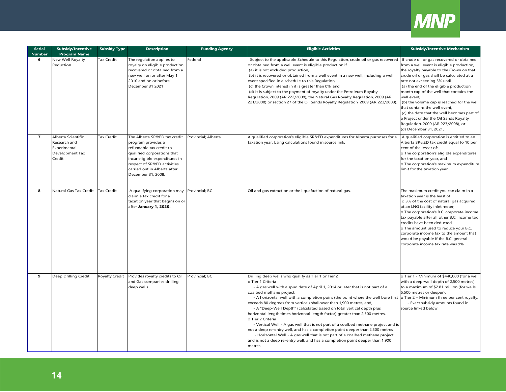

| <b>Serial</b><br><b>Number</b> | <b>Subsidy/Incentive</b><br><b>Program Name</b>                                 | <b>Subsidy Type</b> | <b>Description</b>                                                                                                                                                                                                                   | <b>Funding Agency</b> | <b>Eligible Activities</b>                                                                                                                                                                                                                                                                                                                                                                                                                                                                                                                                                                                                                                                                                                                                                                                                                                                                                                | <b>Subsidy/Incentive Mechanism</b>                                                                                                                                                                                                                                                                                                                                                                                                                                                                          |
|--------------------------------|---------------------------------------------------------------------------------|---------------------|--------------------------------------------------------------------------------------------------------------------------------------------------------------------------------------------------------------------------------------|-----------------------|---------------------------------------------------------------------------------------------------------------------------------------------------------------------------------------------------------------------------------------------------------------------------------------------------------------------------------------------------------------------------------------------------------------------------------------------------------------------------------------------------------------------------------------------------------------------------------------------------------------------------------------------------------------------------------------------------------------------------------------------------------------------------------------------------------------------------------------------------------------------------------------------------------------------------|-------------------------------------------------------------------------------------------------------------------------------------------------------------------------------------------------------------------------------------------------------------------------------------------------------------------------------------------------------------------------------------------------------------------------------------------------------------------------------------------------------------|
| 6                              | New Well Royalty<br>Reduction                                                   | Tax Credit          | The regulation applies to<br>royalty on eligible production<br>recovered or obtained from a<br>new well on or after May 1<br>2010 and on or before<br>December 31 2021                                                               | Federal               | Subject to the applicable Schedule to this Regulation, crude oil or gas recovered If crude oil or gas recovered or obtained<br>or obtained from a well event is eligible production if<br>(a) it is not excluded production,<br>(b) it is recovered or obtained from a well event in a new well, including a well<br>event specified in a schedule to this Regulation,<br>(c) the Crown interest in it is greater than 0%, and<br>(d) it is subject to the payment of royalty under the Petroleum Royalty<br>Regulation, 2009 (AR 222/2008), the Natural Gas Royalty Regulation, 2009 (AR<br>221/2008) or section 27 of the Oil Sands Royalty Regulation, 2009 (AR 223/2008).                                                                                                                                                                                                                                             | from a well event is eligible production,<br>the royalty payable to the Crown on that<br>crude oil or gas shall be calculated at a<br>rate not exceeding 5% until<br>(a) the end of the eligible production<br>month cap of the well that contains the<br>well event,<br>(b) the volume cap is reached for the well<br>that contains the well event,<br>(c) the date that the well becomes part of<br>a Project under the Oil Sands Royalty<br>Regulation, 2009 (AR 223/2008), or<br>(d) December 31, 2021, |
| $\overline{7}$                 | Alberta Scientific<br>Research and<br>Experimental<br>Development Tax<br>Credit | Tax Credit          | The Alberta SR&ED tax credit<br>program provides a<br>refundable tax credit to<br>qualified corporations that<br>incur eligible expenditures in<br>respect of SR&ED activities<br>carried out in Alberta after<br>December 31, 2008. | Provincial; Alberta   | A qualified corporation's eligible SR&ED expenditures for Alberta purposes for a<br>taxation year. Using calculations found in source link.                                                                                                                                                                                                                                                                                                                                                                                                                                                                                                                                                                                                                                                                                                                                                                               | A qualified corporation is entitled to an<br>Alberta SR&ED tax credit equal to 10 per<br>cent of the lesser of:<br>o The corporation's eligible expenditures<br>for the taxation year, and<br>o The corporation's maximum expenditure<br>limit for the taxation year.                                                                                                                                                                                                                                       |
| 8                              | Natural Gas Tax Credit                                                          | <b>Tax Credit</b>   | A qualifying corporation may<br>claim a tax credit for a<br>taxation year that begins on or<br>after January 1, 2020.                                                                                                                | Provincial; BC        | Oil and gas extraction or the liquefaction of natural gas.                                                                                                                                                                                                                                                                                                                                                                                                                                                                                                                                                                                                                                                                                                                                                                                                                                                                | The maximum credit you can claim in a<br>taxation year is the least of:<br>o 3% of the cost of natural gas acquired<br>at an LNG facility inlet meter,<br>o The corporation's B.C. corporate income<br>tax payable after all other B.C. income tax<br>credits have been deducted<br>o The amount used to reduce your B.C.<br>corporate income tax to the amount that<br>would be payable if the B.C. general<br>corporate income tax rate was 9%.                                                           |
| 9                              | Deep Drilling Credit                                                            | Royalty Credit      | Provides royalty credits to Oil<br>and Gas companies drilling<br>deep wells.                                                                                                                                                         | Provincial; BC        | Drilling deep wells who qualify as Tier 1 or Tier 2<br>o Tier 1 Criteria<br>- A gas well with a spud date of April 1, 2014 or later that is not part of a<br>coalbed methane project;<br>- A horizontal well with a completion point (the point where the well bore first o Tier 2 - Minimum three per cent royalty.<br>exceeds 80 degrees from vertical) shallower than 1,900 metres; and,<br>- A "Deep-Well Depth" (calculated based on total vertical depth plus<br>horizontal length times horizontal length factor) greater than 2,500 metres.<br>o Tier 2 Criteria<br>- Vertical Well - A gas well that is not part of a coalbed methane project and is<br>not a deep re-entry well, and has a completion point deeper than 2,500 metres<br>- Horizontal Well - A gas well that is not part of a coalbed methane project<br>and is not a deep re-entry well, and has a completion point deeper than 1,900<br>metres | o Tier 1 - Minimum of \$440,000 (for a well<br>with a deep-well depth of 2,500 metres)<br>to a maximum of \$2.81 million (for wells<br>5,500 metres or deeper).<br>- Exact subsidy amounts found in<br>source linked below                                                                                                                                                                                                                                                                                  |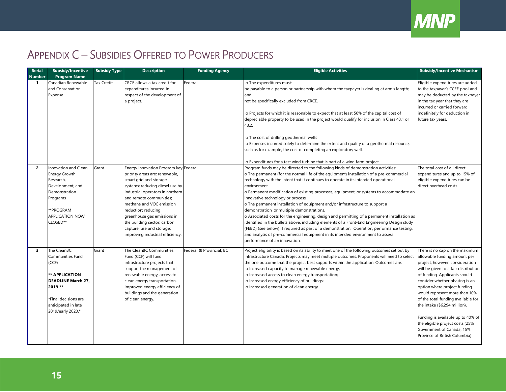

# APPENDIX C – SUBSIDIES OFFERED TO POWER PRODUCERS

<span id="page-15-0"></span>

| <b>Serial</b><br><b>Number</b> | <b>Subsidy/Incentive</b><br>Program Name                                                                                                                               | <b>Subsidy Type</b> | <b>Description</b>                                                                                                                                                                                                                                                                                                                                                                    | <b>Funding Agency</b>    | <b>Eligible Activities</b>                                                                                                                                                                                                                                                                                                                                                                                                                                                                                                                                                                                                                                                                                                                                                                                                                                                                                                                                        | <b>Subsidy/Incentive Mechanism</b>                                                                                                                                                                                                                                                                                                                                                                                                                                                          |
|--------------------------------|------------------------------------------------------------------------------------------------------------------------------------------------------------------------|---------------------|---------------------------------------------------------------------------------------------------------------------------------------------------------------------------------------------------------------------------------------------------------------------------------------------------------------------------------------------------------------------------------------|--------------------------|-------------------------------------------------------------------------------------------------------------------------------------------------------------------------------------------------------------------------------------------------------------------------------------------------------------------------------------------------------------------------------------------------------------------------------------------------------------------------------------------------------------------------------------------------------------------------------------------------------------------------------------------------------------------------------------------------------------------------------------------------------------------------------------------------------------------------------------------------------------------------------------------------------------------------------------------------------------------|---------------------------------------------------------------------------------------------------------------------------------------------------------------------------------------------------------------------------------------------------------------------------------------------------------------------------------------------------------------------------------------------------------------------------------------------------------------------------------------------|
| -1                             | Canadian Renewable<br>and Conservation<br>Expense                                                                                                                      | Tax Credit          | CRCE allows a tax credit for<br>expenditures incurred in<br>respect of the development of<br>a project.                                                                                                                                                                                                                                                                               | Federal                  | o The expenditures must:<br>be payable to a person or partnership with whom the taxpayer is dealing at arm's length;<br>and<br>not be specifically excluded from CRCE.<br>o Projects for which it is reasonable to expect that at least 50% of the capital cost of<br>depreciable property to be used in the project would qualify for inclusion in Class 43.1 or<br>43.2.<br>o The cost of drilling geothermal wells<br>o Expenses incurred solely to determine the extent and quality of a geothermal resource,<br>such as for example, the cost of completing an exploratory well.<br>o Expenditures for a test wind turbine that is part of a wind farm project.                                                                                                                                                                                                                                                                                              | Eligible expenditures are added<br>to the taxpayer's CCEE pool and<br>may be deducted by the taxpayer<br>in the tax year that they are<br>incurred or carried forward<br>indefinitely for deduction in<br>future tax years.                                                                                                                                                                                                                                                                 |
| $\overline{2}$                 | Innovation and Clean<br><b>Energy Growth</b><br>Research,<br>Development, and<br>Demonstration<br>Programs<br>**PROGRAM<br><b>APPLICATION NOW</b><br>CLOSED**          | Grant               | Energy Innovation Program key Federal<br>priority areas are: renewable,<br>smart grid and storage<br>systems; reducing diesel use by<br>industrial operators in northern<br>and remote communities;<br>methane and VOC emission<br>reduction; reducing<br>greenhouse gas emissions in<br>the building sector; carbon<br>capture, use and storage;<br>improving industrial efficiency. |                          | Program funds may be directed to the following kinds of demonstration activities:<br>o The permanent (for the normal life of the equipment) installation of a pre-commercial<br>technology with the intent that it continues to operate in its intended operational<br>environment.<br>o Permanent modification of existing processes, equipment, or systems to accommodate an<br>innovative technology or process;<br>o The permanent installation of equipment and/or infrastructure to support a<br>demonstration, or multiple demonstrations.<br>o Associated costs for the engineering, design and permitting of a permanent installation as<br>identified in the bullets above, including elements of a Front-End Engineering Design study<br>(FEED) (see below) if required as part of a demonstration. Operation, performance testing,<br>and analysis of pre-commercial equipment in its intended environment to assess<br>performance of an innovation. | The total cost of all direct<br>expenditures and up to 15% of<br>eligible expenditures can be<br>direct overhead costs                                                                                                                                                                                                                                                                                                                                                                      |
| $\overline{\mathbf{3}}$        | The CleanBC<br>Communities Fund<br>(CCF)<br>** APPLICATION<br><b>DEADLINE March 27,</b><br>2019 **<br>*Final decisions are<br>anticipated in late<br>2019/early 2020.* | Grant               | The CleanBC Communities<br>Fund (CCF) will fund<br>infrastructure projects that<br>support the management of<br>renewable energy, access to<br>clean energy transportation,<br>improved energy efficiency of<br>buildings and the generation<br>of clean energy.                                                                                                                      | Federal & Provincial; BC | Project eligibility is based on its ability to meet one of the following outcomes set out by<br>Infrastructure Canada. Projects may meet multiple outcomes. Proponents will need to select<br>the one outcome that the project best supports within the application. Outcomes are:<br>o Increased capacity to manage renewable energy;<br>o Increased access to clean energy transportation;<br>o Increased energy efficiency of buildings;<br>o Increased generation of clean energy.                                                                                                                                                                                                                                                                                                                                                                                                                                                                            | There is no cap on the maximum<br>allowable funding amount per<br>project; however, consideration<br>will be given to a fair distribution<br>of funding. Applicants should<br>consider whether phasing is an<br>option where project funding<br>would represent more than 10%<br>of the total funding available for<br>the intake (\$6.294 million).<br>Funding is available up to 40% of<br>the eligible project costs (25%<br>Government of Canada, 15%<br>Province of British Columbia). |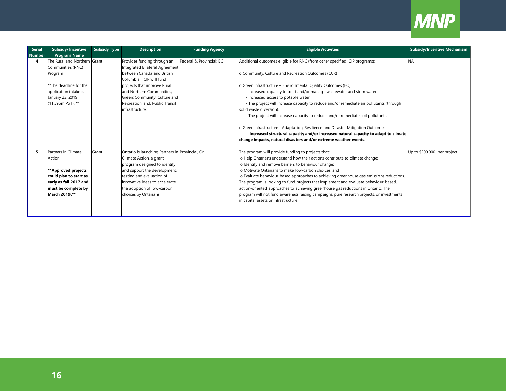

| <b>Serial</b> | Subsidy/Incentive                    | <b>Subsidy Type</b> | <b>Description</b>                                           | <b>Funding Agency</b>    | <b>Eligible Activities</b>                                                                                                         | <b>Subsidy/Incentive Mechanism</b> |
|---------------|--------------------------------------|---------------------|--------------------------------------------------------------|--------------------------|------------------------------------------------------------------------------------------------------------------------------------|------------------------------------|
| <b>Number</b> | <b>Program Name</b>                  |                     |                                                              |                          |                                                                                                                                    |                                    |
| 4             | The Rural and Northern Grant         |                     | Provides funding through an                                  | Federal & Provincial: BC | Additional outcomes eligible for RNC (from other specified ICIP programs):                                                         | <b>NA</b>                          |
|               | Communities (RNC)                    |                     | Integrated Bilateral Agreement                               |                          |                                                                                                                                    |                                    |
|               | Program                              |                     | between Canada and British                                   |                          | o Community, Culture and Recreation Outcomes (CCR)                                                                                 |                                    |
|               |                                      |                     | Columbia. ICIP will fund                                     |                          |                                                                                                                                    |                                    |
|               | **The deadline for the               |                     | projects that improve Rural                                  |                          | o Green Infrastructure - Environmental Quality Outcomes (EQ)                                                                       |                                    |
|               | application intake is                |                     | and Northern Communities:                                    |                          | - Increased capacity to treat and/or manage wastewater and stormwater.                                                             |                                    |
|               | January 23, 2019                     |                     | Green; Community, Culture and                                |                          | - Increased access to potable water.                                                                                               |                                    |
|               | (11:59pm PST). **                    |                     | Recreation; and, Public Transit                              |                          | - The project will increase capacity to reduce and/or remediate air pollutants (through                                            |                                    |
|               |                                      |                     | infrastructure.                                              |                          | solid waste diversion).                                                                                                            |                                    |
|               |                                      |                     |                                                              |                          | - The project will increase capacity to reduce and/or remediate soil pollutants.                                                   |                                    |
|               |                                      |                     |                                                              |                          |                                                                                                                                    |                                    |
|               |                                      |                     |                                                              |                          | o Green Infrastructure - Adaptation, Resilience and Disaster Mitigation Outcomes                                                   |                                    |
|               |                                      |                     |                                                              |                          | - Increased structural capacity and/or increased natural capacity to adapt to climate                                              |                                    |
|               |                                      |                     |                                                              |                          | change impacts, natural disasters and/or extreme weather events.                                                                   |                                    |
|               | Partners in Climate                  | Grant               |                                                              |                          |                                                                                                                                    | Up to \$200,000 per project        |
|               |                                      |                     | Ontario is launching Partners in Provincial; On              |                          | The program will provide funding to projects that:                                                                                 |                                    |
|               | Action                               |                     | Climate Action, a grant                                      |                          | o Help Ontarians understand how their actions contribute to climate change;<br>o Identify and remove barriers to behaviour change; |                                    |
|               | **Approved projects                  |                     | program designed to identify<br>and support the development, |                          | o Motivate Ontarians to make low-carbon choices: and                                                                               |                                    |
|               | could plan to start as               |                     | testing and evaluation of                                    |                          | o Evaluate behaviour-based approaches to achieving greenhouse gas emissions reductions.                                            |                                    |
|               |                                      |                     |                                                              |                          |                                                                                                                                    |                                    |
|               | early as fall 2017 and               |                     | innovative ideas to accelerate                               |                          | The program is looking to fund projects that implement and evaluate behaviour-based,                                               |                                    |
|               | must be complete by<br>March 2019.** |                     | the adoption of low-carbon                                   |                          | action-oriented approaches to achieving greenhouse gas reductions in Ontario. The                                                  |                                    |
|               |                                      |                     | choices by Ontarians                                         |                          | program will not fund awareness raising campaigns, pure research projects, or investments                                          |                                    |
|               |                                      |                     |                                                              |                          | in capital assets or infrastructure.                                                                                               |                                    |
|               |                                      |                     |                                                              |                          |                                                                                                                                    |                                    |
|               |                                      |                     |                                                              |                          |                                                                                                                                    |                                    |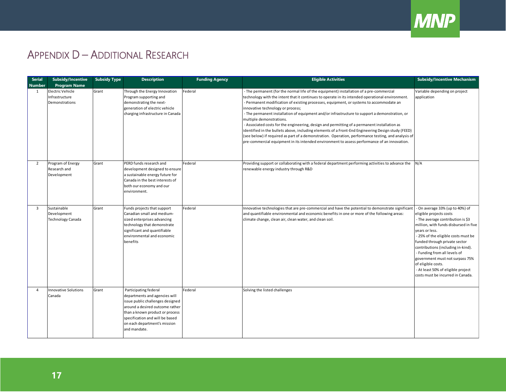

# APPENDIX D – ADDITIONAL RESEARCH

<span id="page-17-0"></span>

| <b>Serial</b><br><b>Number</b> | <b>Subsidy/Incentive</b><br><b>Program Name</b>        | <b>Subsidy Type</b> | <b>Description</b>                                                                                                                                                                                                                                  | <b>Funding Agency</b> | <b>Eligible Activities</b>                                                                                                                                                                                                                                                                                                                                                                                                                                                                                                                                                                                                                                                                                                                                                                                                                                             | <b>Subsidy/Incentive Mechanism</b>                                                                                                                                                                                                                                                                                                                                                                                                           |
|--------------------------------|--------------------------------------------------------|---------------------|-----------------------------------------------------------------------------------------------------------------------------------------------------------------------------------------------------------------------------------------------------|-----------------------|------------------------------------------------------------------------------------------------------------------------------------------------------------------------------------------------------------------------------------------------------------------------------------------------------------------------------------------------------------------------------------------------------------------------------------------------------------------------------------------------------------------------------------------------------------------------------------------------------------------------------------------------------------------------------------------------------------------------------------------------------------------------------------------------------------------------------------------------------------------------|----------------------------------------------------------------------------------------------------------------------------------------------------------------------------------------------------------------------------------------------------------------------------------------------------------------------------------------------------------------------------------------------------------------------------------------------|
| 1                              | Electric Vehicle<br>Infrastructure<br>Demonstrations   | Grant               | Through the Energy Innovation<br>Program supporting and<br>demonstrating the next-<br>generation of electric vehicle<br>charging infrastructure in Canada                                                                                           | Federal               | - The permanent (for the normal life of the equipment) installation of a pre-commercial<br>technology with the intent that it continues to operate in its intended operational environment.<br>- Permanent modification of existing processes, equipment, or systems to accommodate an<br>innovative technology or process;<br>- The permanent installation of equipment and/or infrastructure to support a demonstration, or<br>multiple demonstrations.<br>- Associated costs for the engineering, design and permitting of a permanent installation as<br>identified in the bullets above, including elements of a Front-End Engineering Design study (FEED)<br>(see below) if required as part of a demonstration. Operation, performance testing, and analysis of<br>pre-commercial equipment in its intended environment to assess performance of an innovation. | Variable depending on project<br>application                                                                                                                                                                                                                                                                                                                                                                                                 |
| 2                              | Program of Energy<br>Research and<br>Development       | Grant               | PERD funds research and<br>development designed to ensure<br>a sustainable energy future for<br>Canada in the best interests of<br>both our economy and our<br>environment.                                                                         | Federal               | Providing support or collaborating with a federal department performing activities to advance the<br>renewable energy industry through R&D                                                                                                                                                                                                                                                                                                                                                                                                                                                                                                                                                                                                                                                                                                                             | N/A                                                                                                                                                                                                                                                                                                                                                                                                                                          |
| 3                              | Sustainable<br>Development<br><b>Technology Canada</b> | Grant               | Funds projects that support<br>Canadian small and medium-<br>sized enterprises advancing<br>technology that demonstrate<br>significant and quantifiable<br>environmental and economic<br>benefits                                                   | Federal               | Innovative technologies that are pre-commercial and have the potential to demonstrate significant<br>and quantifiable environmental and economic benefits in one or more of the following areas:<br>climate change, clean air, clean water, and clean soil.                                                                                                                                                                                                                                                                                                                                                                                                                                                                                                                                                                                                            | - On average 33% (up to 40%) of<br>eligible projects costs<br>- The average contribution is \$3<br>million, with funds disbursed in five<br>years or less.<br>- 25% of the eligible costs must be<br>funded through private sector<br>contributions (including in-kind).<br>- Funding from all levels of<br>government must not surpass 75%<br>of eligible costs.<br>- At least 50% of eligible project<br>costs must be incurred in Canada. |
| $\overline{a}$                 | <b>Innovative Solutions</b><br>Canada                  | Grant               | Participating federal<br>departments and agencies will<br>issue public challenges designed<br>around a desired outcome rather<br>than a known product or process<br>specification and will be based<br>on each department's mission<br>and mandate. | Federal               | Solving the listed challenges                                                                                                                                                                                                                                                                                                                                                                                                                                                                                                                                                                                                                                                                                                                                                                                                                                          |                                                                                                                                                                                                                                                                                                                                                                                                                                              |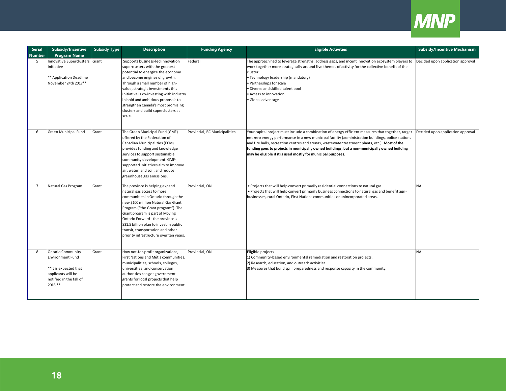

| <b>Serial</b>  | <b>Subsidy/Incentive</b>                                                                                                                 | <b>Subsidy Type</b> | <b>Description</b>                                                                                                                                                                                                                                                                                                                                                                         | <b>Funding Agency</b>         | <b>Eligible Activities</b>                                                                                                                                                                                                                                                                                                                                                                                                                                                  | <b>Subsidy/Incentive Mechanism</b> |
|----------------|------------------------------------------------------------------------------------------------------------------------------------------|---------------------|--------------------------------------------------------------------------------------------------------------------------------------------------------------------------------------------------------------------------------------------------------------------------------------------------------------------------------------------------------------------------------------------|-------------------------------|-----------------------------------------------------------------------------------------------------------------------------------------------------------------------------------------------------------------------------------------------------------------------------------------------------------------------------------------------------------------------------------------------------------------------------------------------------------------------------|------------------------------------|
| <b>Number</b>  | <b>Program Name</b>                                                                                                                      |                     |                                                                                                                                                                                                                                                                                                                                                                                            |                               |                                                                                                                                                                                                                                                                                                                                                                                                                                                                             |                                    |
| 5              | <b>Innovative Superclusters</b><br>Initiative<br>** Application Deadline<br>November 24th 2017**                                         | Grant               | Supports business-led innovation<br>superclusters with the greatest<br>potential to energize the economy<br>and become engines of growth.<br>Through a small number of high-<br>value, strategic investments this<br>initiative is co-investing with industry<br>in bold and ambitious proposals to<br>strengthen Canada's most promising<br>clusters and build superclusters at<br>scale. | Federal                       | The approach had to leverage strengths, address gaps, and incent innovation ecosystem players to<br>work together more strategically around five themes of activity for the collective benefit of the<br>cluster:<br>· Technology leadership (mandatory)<br>Partnerships for scale<br>Diverse and skilled talent pool<br>Access to innovation<br>· Global advantage                                                                                                         | Decided upon application approval  |
| 6              | Green Municipal Fund                                                                                                                     | Grant               | The Green Municipal Fund (GMF)<br>offered by the Federation of<br>Canadian Municipalities (FCM)<br>provides funding and knowledge<br>services to support sustainable<br>community development. GMF-<br>supported initiatives aim to improve<br>air, water, and soil, and reduce<br>greenhouse gas emissions.                                                                               | Provincial; BC Municipalities | Your capital project must include a combination of energy efficient measures that together, target<br>net zero energy performance in a new municipal facility (administration buildings, police stations<br>and fire halls, recreation centres and arenas, wastewater treatment plants, etc.). Most of the<br>funding goes to projects in municipally owned buildings, but a non-municipally owned building<br>may be eligible if it is used mostly for municipal purposes. | Decided upon application approval  |
| $\overline{7}$ | Natural Gas Program                                                                                                                      | Grant               | The province is helping expand<br>natural gas access to more<br>communities in Ontario through the<br>new \$100 million Natural Gas Grant<br>Program ("the Grant program"). The<br>Grant program is part of Moving<br>Ontario Forward - the province's<br>\$31.5 billion plan to invest in public<br>transit, transportation and other<br>priority infrastructure over ten years.          | Provincial; ON                | . Projects that will help convert primarily residential connections to natural gas.<br>. Projects that will help convert primarily business connections to natural gas and benefit agri-<br>businesses, rural Ontario, First Nations communities or unincorporated areas.                                                                                                                                                                                                   | <b>NA</b>                          |
| 8              | <b>Ontario Community</b><br><b>Environment Fund</b><br>**It is expected that<br>applicants will be<br>notified in the fall of<br>2018.** | Grant               | How not-for-profit organizations,<br>First Nations and Métis communities,<br>municipalities, schools, colleges,<br>universities, and conservation<br>authorities can get government<br>grants for local projects that help<br>protect and restore the environment.                                                                                                                         | Provincial; ON                | Eligible projects<br>1) Community-based environmental remediation and restoration projects.<br>2) Research, education, and outreach activities.<br>3) Measures that build spill preparedness and response capacity in the community.                                                                                                                                                                                                                                        | <b>NA</b>                          |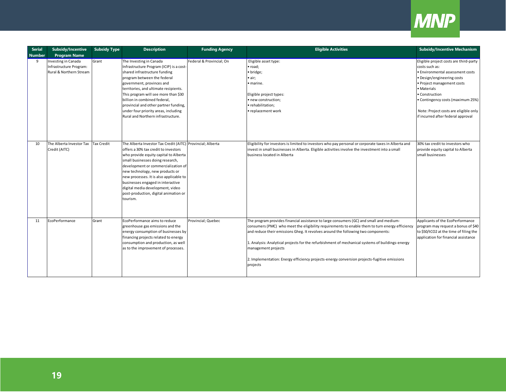

| <b>Serial</b> | Subsidy/Incentive                                                         | <b>Subsidy Type</b> | <b>Description</b>                                                                                                                                                                                                                                                                                                                                                                                                                 | <b>Funding Agency</b>    | <b>Eligible Activities</b>                                                                                                                                                                                                                                                                                                                                                                                                                                                                                           | <b>Subsidy/Incentive Mechanism</b>                                                                                                                                                                                                                                                                            |
|---------------|---------------------------------------------------------------------------|---------------------|------------------------------------------------------------------------------------------------------------------------------------------------------------------------------------------------------------------------------------------------------------------------------------------------------------------------------------------------------------------------------------------------------------------------------------|--------------------------|----------------------------------------------------------------------------------------------------------------------------------------------------------------------------------------------------------------------------------------------------------------------------------------------------------------------------------------------------------------------------------------------------------------------------------------------------------------------------------------------------------------------|---------------------------------------------------------------------------------------------------------------------------------------------------------------------------------------------------------------------------------------------------------------------------------------------------------------|
| <b>Number</b> | <b>Program Name</b>                                                       |                     |                                                                                                                                                                                                                                                                                                                                                                                                                                    |                          |                                                                                                                                                                                                                                                                                                                                                                                                                                                                                                                      |                                                                                                                                                                                                                                                                                                               |
| 9             | Investing in Canada<br>Infrastructure Program:<br>Rural & Northern Stream | Grant               | The Investing in Canada<br>Infrastructure Program (ICIP) is a cost-<br>shared infrastructure funding<br>program between the federal<br>government, provinces and<br>territories, and ultimate recipients.<br>This program will see more than \$30<br>billion in combined federal,<br>provincial and other partner funding,<br>under four priority areas, including<br>Rural and Northern infrastructure.                           | Federal & Provincial; On | Eligible asset type:<br>· road;<br>· bridge;<br>$\bullet$ air;<br>· marine.<br>Eligible project types:<br>· new construction;<br>· rehabilitation;<br>· replacement work                                                                                                                                                                                                                                                                                                                                             | Eligible project costs are third-party<br>costs such as:<br>· Environmental assessment costs<br>· Design/engineering costs<br>· Project management costs<br>• Materials<br>• Construction<br>• Contingency costs (maximum 25%)<br>Note: Project costs are eligible only<br>if incurred after federal approval |
| 10            | The Alberta Investor Tax<br>Credit (AITC)                                 | <b>Tax Credit</b>   | The Alberta Investor Tax Credit (AITC) Provincial; Alberta<br>offers a 30% tax credit to investors<br>who provide equity capital to Alberta<br>small businesses doing research,<br>development or commercialization of<br>new technology, new products or<br>new processes. It is also applicable to<br>businesses engaged in interactive<br>digital media development, video<br>post-production, digital animation or<br>tourism. |                          | Eligibility for investors is limited to investors who pay personal or corporate taxes in Alberta and<br>invest in small businesses in Alberta. Eligible activities involve the investment into a small<br>business located in Alberta                                                                                                                                                                                                                                                                                | 30% tax credit to investors who<br>provide equity capital to Alberta<br>small businesses                                                                                                                                                                                                                      |
| 11            | EcoPerformance                                                            | Grant               | EcoPerformance aims to reduce<br>greenhouse gas emissions and the<br>energy consumption of businesses by<br>financing projects related to energy<br>consumption and production, as well<br>as to the improvement of processes.                                                                                                                                                                                                     | Provincial; Quebec       | The program provides financial assistance to large consumers (GC) and small and medium-<br>consumers (PMC) who meet the eligibility requirements to enable them to turn energy efficiency<br>and reduce their emissions Gheg. It revolves around the following two components:<br>1. Analysis: Analytical projects for the refurbishment of mechanical systems of buildings-energy<br>management projects<br>2. Implementation: Energy efficiency projects-energy conversion projects-fugitive emissions<br>projects | Applicants of the EcoPerformance<br>program may request a bonus of \$40<br>to \$50/tCO2 at the time of filing the<br>application for financial assistance                                                                                                                                                     |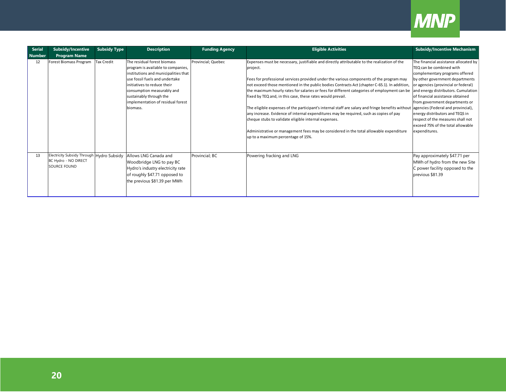

| <b>Serial</b> | <b>Subsidy/Incentive</b>                                                          | <b>Subsidy Type</b> | <b>Description</b>                                                                                                                                                                                                                                                                   | <b>Funding Agency</b> | <b>Eligible Activities</b>                                                                                                                                                                                                                                                                                                                                                                                                                                                                                                                                                                                                                                                                                                                                                                                                                                                                                                   | <b>Subsidy/Incentive Mechanism</b>                                                                                                                                                                                                                                                                                                                                                |
|---------------|-----------------------------------------------------------------------------------|---------------------|--------------------------------------------------------------------------------------------------------------------------------------------------------------------------------------------------------------------------------------------------------------------------------------|-----------------------|------------------------------------------------------------------------------------------------------------------------------------------------------------------------------------------------------------------------------------------------------------------------------------------------------------------------------------------------------------------------------------------------------------------------------------------------------------------------------------------------------------------------------------------------------------------------------------------------------------------------------------------------------------------------------------------------------------------------------------------------------------------------------------------------------------------------------------------------------------------------------------------------------------------------------|-----------------------------------------------------------------------------------------------------------------------------------------------------------------------------------------------------------------------------------------------------------------------------------------------------------------------------------------------------------------------------------|
| <b>Number</b> | <b>Program Name</b>                                                               |                     |                                                                                                                                                                                                                                                                                      |                       |                                                                                                                                                                                                                                                                                                                                                                                                                                                                                                                                                                                                                                                                                                                                                                                                                                                                                                                              |                                                                                                                                                                                                                                                                                                                                                                                   |
| 12            | Forest Biomass Program                                                            | <b>Tax Credit</b>   | The residual forest biomass<br>program is available to companies,<br>institutions and municipalities that<br>use fossil fuels and undertake<br>initiatives to reduce their<br>consumption measurably and<br>sustainably through the<br>implementation of residual forest<br>biomass. | Provincial; Quebec    | Expenses must be necessary, justifiable and directly attributable to the realization of the<br>project.<br>Fees for professional services provided under the various components of the program may<br>not exceed those mentioned in the public bodies Contracts Act (chapter C-65.1). In addition,<br>the maximum hourly rates for salaries or fees for different categories of employment can be and energy distributors. Cumulation<br>fixed by TEQ and, in this case, these rates would prevail.<br>The eligible expenses of the participant's internal staff are salary and fringe benefits without agencies (Federal and provincial),<br>any increase. Evidence of internal expenditures may be required, such as copies of pay<br>cheque stubs to validate eligible internal expenses.<br>Administrative or management fees may be considered in the total allowable expenditure<br>up to a maximum percentage of 15%. | The financial assistance allocated by<br>TEQ can be combined with<br>complementary programs offered<br>by other government departments<br>or agencies (provincial or federal)<br>of financial assistance obtained<br>from government departments or<br>energy distributors and TEQS in<br>respect of the measures shall not<br>exceed 75% of the total allowable<br>expenditures. |
| 13            | Electricity Subsidy Through Hydro Subsidy<br>BC Hydro - NO DIRECT<br>SOURCE FOUND |                     | Allows LNG Canada and<br>Woodbridge LNG to pay BC<br>Hydro's industry electricity rate<br>of roughly \$47.71 opposed to<br>the previous \$81.39 per MWh                                                                                                                              | Provincial; BC        | Powering fracking and LNG                                                                                                                                                                                                                                                                                                                                                                                                                                                                                                                                                                                                                                                                                                                                                                                                                                                                                                    | Pay approximately \$47.71 per<br>MWh of hydro from the new Site<br>C power facility opposed to the<br>previous \$81.39                                                                                                                                                                                                                                                            |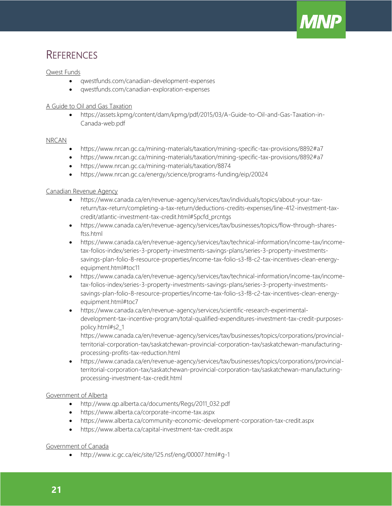

# **REFERENCES**

#### Qwest Funds

- qwestfunds.com/canadian-development-expenses
- qwestfunds.com/canadian-exploration-expenses

#### A Guide to Oil and Gas Taxation

• [https://assets.kpmg/content/dam/kpmg/pdf/2015/03/A-Guide-to-Oil-and-Gas-Taxation-in-](https://assets.kpmg/content/dam/kpmg/pdf/2015/03/A-Guide-to-Oil-and-Gas-Taxation-in-Canada-web.pdf)[Canada-web.pdf](https://assets.kpmg/content/dam/kpmg/pdf/2015/03/A-Guide-to-Oil-and-Gas-Taxation-in-Canada-web.pdf)

#### NRCAN

- <https://www.nrcan.gc.ca/mining-materials/taxation/mining-specific-tax-provisions/8892#a7>
- <https://www.nrcan.gc.ca/mining-materials/taxation/mining-specific-tax-provisions/8892#a7>
- <https://www.nrcan.gc.ca/mining-materials/taxation/8874>
- https://www.nrcan.gc.ca/energy/science/programs-funding/eip/20024

#### Canadian Revenue Agency

- [https://www.canada.ca/en/revenue-agency/services/tax/individuals/topics/about-your-tax](https://www.canada.ca/en/revenue-agency/services/tax/individuals/topics/about-your-tax-return/tax-return/completing-a-tax-return/deductions-credits-expenses/line-412-investment-tax-credit/atlantic-investment-tax-credit.html#Spcfd_prcntgs)[return/tax-return/completing-a-tax-return/deductions-credits-expenses/line-412-investment-tax](https://www.canada.ca/en/revenue-agency/services/tax/individuals/topics/about-your-tax-return/tax-return/completing-a-tax-return/deductions-credits-expenses/line-412-investment-tax-credit/atlantic-investment-tax-credit.html#Spcfd_prcntgs)[credit/atlantic-investment-tax-credit.html#Spcfd\\_prcntgs](https://www.canada.ca/en/revenue-agency/services/tax/individuals/topics/about-your-tax-return/tax-return/completing-a-tax-return/deductions-credits-expenses/line-412-investment-tax-credit/atlantic-investment-tax-credit.html#Spcfd_prcntgs)
- [https://www.canada.ca/en/revenue-agency/services/tax/businesses/topics/flow-through-shares](https://www.canada.ca/en/revenue-agency/services/tax/businesses/topics/flow-through-shares-ftss.html)[ftss.html](https://www.canada.ca/en/revenue-agency/services/tax/businesses/topics/flow-through-shares-ftss.html)
- [https://www.canada.ca/en/revenue-agency/services/tax/technical-information/income-tax/income](https://www.canada.ca/en/revenue-agency/services/tax/technical-information/income-tax/income-tax-folios-index/series-3-property-investments-savings-plans/series-3-property-investments-savings-plan-folio-8-resource-properties/income-tax-folio-s3-f8-c2-tax-incentives-clean-energy-equipment.html#toc11)[tax-folios-index/series-3-property-investments-savings-plans/series-3-property-investments](https://www.canada.ca/en/revenue-agency/services/tax/technical-information/income-tax/income-tax-folios-index/series-3-property-investments-savings-plans/series-3-property-investments-savings-plan-folio-8-resource-properties/income-tax-folio-s3-f8-c2-tax-incentives-clean-energy-equipment.html#toc11)[savings-plan-folio-8-resource-properties/income-tax-folio-s3-f8-c2-tax-incentives-clean-energy](https://www.canada.ca/en/revenue-agency/services/tax/technical-information/income-tax/income-tax-folios-index/series-3-property-investments-savings-plans/series-3-property-investments-savings-plan-folio-8-resource-properties/income-tax-folio-s3-f8-c2-tax-incentives-clean-energy-equipment.html#toc11)[equipment.html#toc11](https://www.canada.ca/en/revenue-agency/services/tax/technical-information/income-tax/income-tax-folios-index/series-3-property-investments-savings-plans/series-3-property-investments-savings-plan-folio-8-resource-properties/income-tax-folio-s3-f8-c2-tax-incentives-clean-energy-equipment.html#toc11)
- [https://www.canada.ca/en/revenue-agency/services/tax/technical-information/income-tax/income](ttps://www.canada.ca/en/revenue-agency/services/tax/technical-information/income-tax/income-tax-folios-index/series-3-property-investments-savings-plans/series-3-property-investments-savings-plan-folio-8-resource-properties/income-tax-folio-s3-f8-c2-tax-incentives-c)[tax-folios-index/series-3-property-investments-savings-plans/series-3-property-investments](ttps://www.canada.ca/en/revenue-agency/services/tax/technical-information/income-tax/income-tax-folios-index/series-3-property-investments-savings-plans/series-3-property-investments-savings-plan-folio-8-resource-properties/income-tax-folio-s3-f8-c2-tax-incentives-c)[savings-plan-folio-8-resource-properties/income-tax-folio-s3-f8-c2-tax-incentives-cle](ttps://www.canada.ca/en/revenue-agency/services/tax/technical-information/income-tax/income-tax-folios-index/series-3-property-investments-savings-plans/series-3-property-investments-savings-plan-folio-8-resource-properties/income-tax-folio-s3-f8-c2-tax-incentives-c)an-energyequipment.html#toc7
- [https://www.canada.ca/en/revenue-agency/services/scientific-research-experimental](https://www.canada.ca/en/revenue-agency/services/scientific-research-experimental-development-tax-incentive-program/total-qualified-expenditures-investment-tax-credit-purposes-policy.html#s2_1)[development-tax-incentive-program/total-qualified-expenditures-investment-tax-credit-purposes](https://www.canada.ca/en/revenue-agency/services/scientific-research-experimental-development-tax-incentive-program/total-qualified-expenditures-investment-tax-credit-purposes-policy.html#s2_1)[policy.html#s2\\_1](https://www.canada.ca/en/revenue-agency/services/scientific-research-experimental-development-tax-incentive-program/total-qualified-expenditures-investment-tax-credit-purposes-policy.html#s2_1)

[https://www.canada.ca/en/revenue-agency/services/tax/businesses/topics/corporations/provincial](https://www.canada.ca/en/revenue-agency/services/tax/businesses/topics/corporations/provincial-territorial-corporation-tax/saskatchewan-provincial-corporation-tax/saskatchewan-manufacturing-processing-profits-tax-reduction.html)[territorial-corporation-tax/saskatchewan-provincial-corporation-tax/saskatchewan-manufacturing](https://www.canada.ca/en/revenue-agency/services/tax/businesses/topics/corporations/provincial-territorial-corporation-tax/saskatchewan-provincial-corporation-tax/saskatchewan-manufacturing-processing-profits-tax-reduction.html)[processing-profits-tax-reduction.html](https://www.canada.ca/en/revenue-agency/services/tax/businesses/topics/corporations/provincial-territorial-corporation-tax/saskatchewan-provincial-corporation-tax/saskatchewan-manufacturing-processing-profits-tax-reduction.html)

• [https://www.canada.ca/en/revenue-agency/services/tax/businesses/topics/corporations/provincial](https://www.canada.ca/en/revenue-agency/services/tax/businesses/topics/corporations/provincial-territorial-corporation-tax/saskatchewan-provincial-corporation-tax/saskatchewan-manufacturing-processing-investment-tax-credit.html)[territorial-corporation-tax/saskatchewan-provincial-corporation-tax/saskatchewan-manufacturing](https://www.canada.ca/en/revenue-agency/services/tax/businesses/topics/corporations/provincial-territorial-corporation-tax/saskatchewan-provincial-corporation-tax/saskatchewan-manufacturing-processing-investment-tax-credit.html)[processing-investment-tax-credit.html](https://www.canada.ca/en/revenue-agency/services/tax/businesses/topics/corporations/provincial-territorial-corporation-tax/saskatchewan-provincial-corporation-tax/saskatchewan-manufacturing-processing-investment-tax-credit.html)

#### Government of Alberta

- [http://www.qp.alberta.ca/documents/Regs/2011\\_032.pdf](http://www.qp.alberta.ca/documents/Regs/2011_032.pdf)
- <https://www.alberta.ca/corporate-income-tax.aspx>
- <https://www.alberta.ca/community-economic-development-corporation-tax-credit.aspx>
- <https://www.alberta.ca/capital-investment-tax-credit.aspx>

#### Government of Canada

• <http://www.ic.gc.ca/eic/site/125.nsf/eng/00007.html#g-1>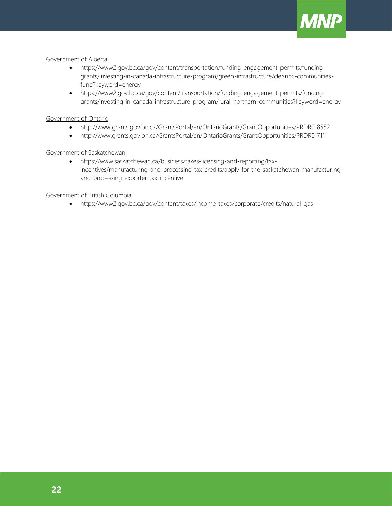

#### Government of Alberta

- [https://www2.gov.bc.ca/gov/content/transportation/funding-engagement-permits/funding](https://www2.gov.bc.ca/gov/content/transportation/funding-engagement-permits/funding-grants/investing-in-canada-infrastructure-program/green-infrastructure/cleanbc-communities-fund?keyword=energy)[grants/investing-in-canada-infrastructure-program/green-infrastructure/cleanbc-communities](https://www2.gov.bc.ca/gov/content/transportation/funding-engagement-permits/funding-grants/investing-in-canada-infrastructure-program/green-infrastructure/cleanbc-communities-fund?keyword=energy)[fund?keyword=energy](https://www2.gov.bc.ca/gov/content/transportation/funding-engagement-permits/funding-grants/investing-in-canada-infrastructure-program/green-infrastructure/cleanbc-communities-fund?keyword=energy)
- [https://www2.gov.bc.ca/gov/content/transportation/funding-engagement-pe](ttps://www2.gov.bc.ca/gov/content/transportation/funding-engagement-p)rmits/fundinggrants/investing-in-canada-infrastructure-program/rural-northern-communities?keyword=energy

#### Government of Ontario

- <http://www.grants.gov.on.ca/GrantsPortal/en/OntarioGrants/GrantOpportunities/PRDR018552>
- <http://www.grants.gov.on.ca/GrantsPortal/en/OntarioGrants/GrantOpportunities/PRDR017111>

#### Government of Saskatchewan

• [https://www.saskatchewan.ca/business/taxes-licensing-and-reporting/tax](https://www.saskatchewan.ca/business/taxes-licensing-and-reporting/tax-incentives/manufacturing-and-processing-tax-credits/apply-for-the-saskatchewan-manufacturing-and-processing-exporter-tax-incentive)[incentives/manufacturing-and-processing-tax-credits/apply-for-the-saskatchewan-manufacturing](https://www.saskatchewan.ca/business/taxes-licensing-and-reporting/tax-incentives/manufacturing-and-processing-tax-credits/apply-for-the-saskatchewan-manufacturing-and-processing-exporter-tax-incentive)[and-processing-exporter-tax-incentive](https://www.saskatchewan.ca/business/taxes-licensing-and-reporting/tax-incentives/manufacturing-and-processing-tax-credits/apply-for-the-saskatchewan-manufacturing-and-processing-exporter-tax-incentive)

#### Government of British Columbia

• <https://www2.gov.bc.ca/gov/content/taxes/income-taxes/corporate/credits/natural-gas>